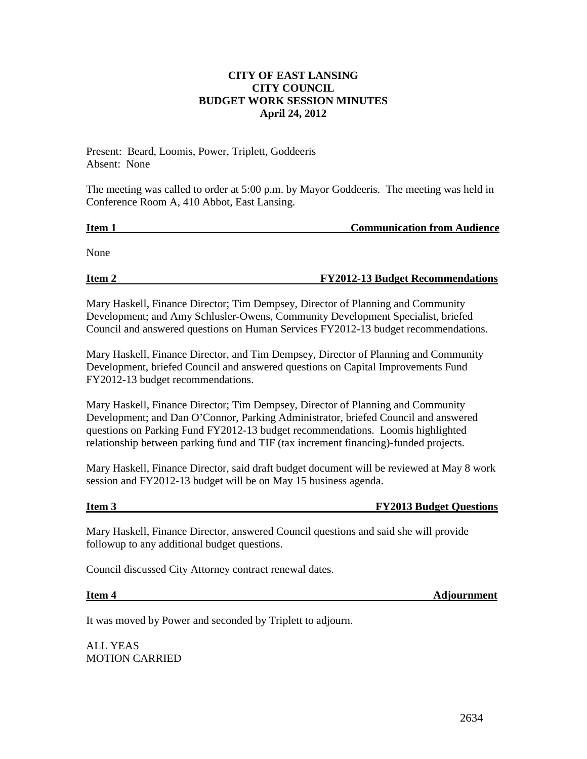## **CITY OF EAST LANSING CITY COUNCIL BUDGET WORK SESSION MINUTES April 24, 2012**

Present: Beard, Loomis, Power, Triplett, Goddeeris Absent: None

The meeting was called to order at 5:00 p.m. by Mayor Goddeeris. The meeting was held in Conference Room A, 410 Abbot, East Lansing.

**Item 1 Communication from Audience**

None

**Item 2 FY2012-13 Budget Recommendations**

Mary Haskell, Finance Director; Tim Dempsey, Director of Planning and Community Development; and Amy Schlusler-Owens, Community Development Specialist, briefed Council and answered questions on Human Services FY2012-13 budget recommendations.

Mary Haskell, Finance Director, and Tim Dempsey, Director of Planning and Community Development, briefed Council and answered questions on Capital Improvements Fund FY2012-13 budget recommendations.

Mary Haskell, Finance Director; Tim Dempsey, Director of Planning and Community Development; and Dan O'Connor, Parking Administrator, briefed Council and answered questions on Parking Fund FY2012-13 budget recommendations. Loomis highlighted relationship between parking fund and TIF (tax increment financing)-funded projects.

Mary Haskell, Finance Director, said draft budget document will be reviewed at May 8 work session and FY2012-13 budget will be on May 15 business agenda.

## **Item 3** FY2013 Budget Questions

Mary Haskell, Finance Director, answered Council questions and said she will provide followup to any additional budget questions.

Council discussed City Attorney contract renewal dates.

**Item 4 Adjournment**

It was moved by Power and seconded by Triplett to adjourn.

ALL YEAS MOTION CARRIED